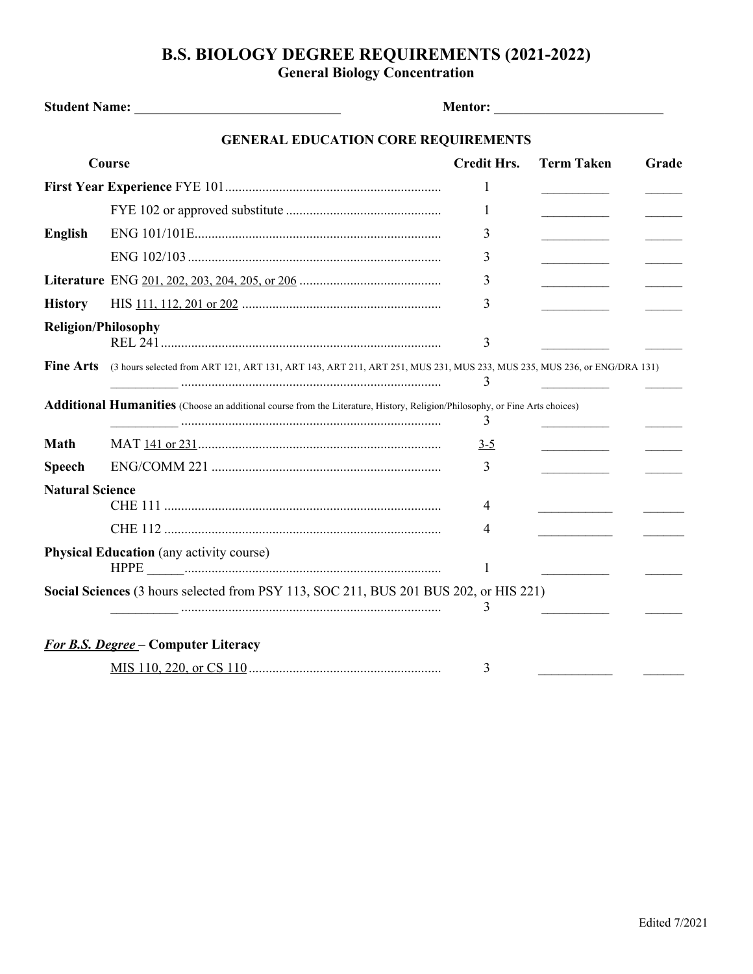## **B.S. BIOLOGY DEGREE REQUIREMENTS (2021-2022) General Biology Concentration**

|                            | <b>GENERAL EDUCATION CORE REQUIREMENTS</b>                                                                                         |                    |                                                 |       |
|----------------------------|------------------------------------------------------------------------------------------------------------------------------------|--------------------|-------------------------------------------------|-------|
| Course                     |                                                                                                                                    | <b>Credit Hrs.</b> | <b>Term Taken</b>                               | Grade |
|                            |                                                                                                                                    | 1                  |                                                 |       |
|                            |                                                                                                                                    | 1                  |                                                 |       |
| <b>English</b>             |                                                                                                                                    | 3                  | <b>Contract Contract Contract</b>               |       |
|                            |                                                                                                                                    | 3                  | <u> 1990 - Johann Barnett, fransk konge</u>     |       |
|                            |                                                                                                                                    | 3                  | <u> 1980 - Johann Barnett, fransk politiker</u> |       |
| <b>History</b>             |                                                                                                                                    | 3                  | the control of the control of                   |       |
| <b>Religion/Philosophy</b> |                                                                                                                                    | 3                  |                                                 |       |
| <b>Fine Arts</b>           | (3 hours selected from ART 121, ART 131, ART 143, ART 211, ART 251, MUS 231, MUS 233, MUS 235, MUS 236, or ENG/DRA 131)            | 3                  |                                                 |       |
|                            | <b>Additional Humanities</b> (Choose an additional course from the Literature, History, Religion/Philosophy, or Fine Arts choices) | 3                  |                                                 |       |
| Math                       |                                                                                                                                    | $3-5$              |                                                 |       |
| <b>Speech</b>              |                                                                                                                                    | 3                  |                                                 |       |
| <b>Natural Science</b>     |                                                                                                                                    | 4                  |                                                 |       |
|                            |                                                                                                                                    | 4                  |                                                 |       |
|                            | <b>Physical Education</b> (any activity course)                                                                                    | 1                  |                                                 |       |
|                            | Social Sciences (3 hours selected from PSY 113, SOC 211, BUS 201 BUS 202, or HIS 221)                                              | 3                  |                                                 |       |
|                            | <b>For B.S. Degree - Computer Literacy</b>                                                                                         |                    |                                                 |       |
|                            |                                                                                                                                    | 3                  |                                                 |       |